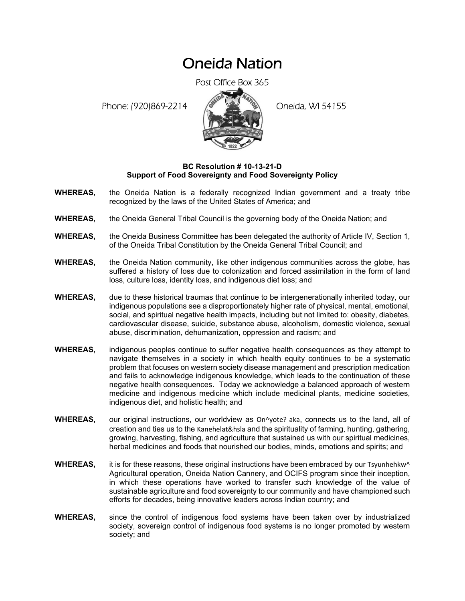## Oneida Nation

Post Office Box 365

Phone: (920)869-2214 (8 April 2) Oneida, WI 54155



## **BC Resolution # 10-13-21-D Support of Food Sovereignty and Food Sovereignty Policy**

- **WHEREAS,** the Oneida Nation is a federally recognized Indian government and a treaty tribe recognized by the laws of the United States of America; and
- **WHEREAS,** the Oneida General Tribal Council is the governing body of the Oneida Nation; and
- **WHEREAS,** the Oneida Business Committee has been delegated the authority of Article IV, Section 1, of the Oneida Tribal Constitution by the Oneida General Tribal Council; and
- **WHEREAS,** the Oneida Nation community, like other indigenous communities across the globe, has suffered a history of loss due to colonization and forced assimilation in the form of land loss, culture loss, identity loss, and indigenous diet loss; and
- **WHEREAS,** due to these historical traumas that continue to be intergenerationally inherited today, our indigenous populations see a disproportionately higher rate of physical, mental, emotional, social, and spiritual negative health impacts, including but not limited to: obesity, diabetes, cardiovascular disease, suicide, substance abuse, alcoholism, domestic violence, sexual abuse, discrimination, dehumanization, oppression and racism; and
- **WHEREAS,** indigenous peoples continue to suffer negative health consequences as they attempt to navigate themselves in a society in which health equity continues to be a systematic problem that focuses on western society disease management and prescription medication and fails to acknowledge indigenous knowledge, which leads to the continuation of these negative health consequences. Today we acknowledge a balanced approach of western medicine and indigenous medicine which include medicinal plants, medicine societies, indigenous diet, and holistic health; and
- WHEREAS, our original instructions, our worldview as On^yote? aka, connects us to the land, all of creation and ties us to the Kanehelat&hsla and the spirituality of farming, hunting, gathering, growing, harvesting, fishing, and agriculture that sustained us with our spiritual medicines, herbal medicines and foods that nourished our bodies, minds, emotions and spirits; and
- WHEREAS, it is for these reasons, these original instructions have been embraced by our Tsyunhehkw<sup>^</sup> Agricultural operation, Oneida Nation Cannery, and OCIFS program since their inception, in which these operations have worked to transfer such knowledge of the value of sustainable agriculture and food sovereignty to our community and have championed such efforts for decades, being innovative leaders across Indian country; and
- **WHEREAS,** since the control of indigenous food systems have been taken over by industrialized society, sovereign control of indigenous food systems is no longer promoted by western society; and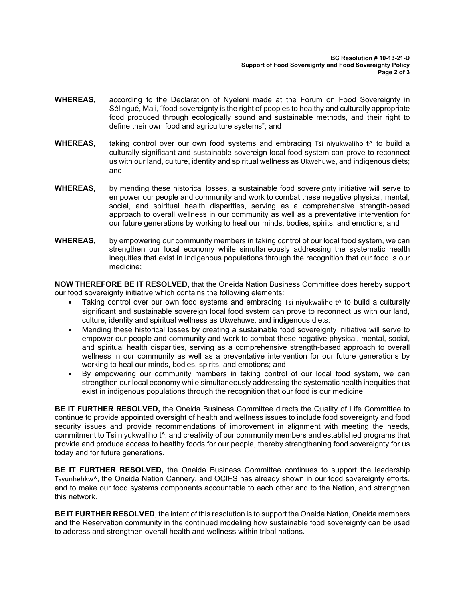- **WHEREAS,** according to the Declaration of Nyéléni made at the Forum on Food Sovereignty in Sélingué, Mali, "food sovereignty is the right of peoples to healthy and culturally appropriate food produced through ecologically sound and sustainable methods, and their right to define their own food and agriculture systems"; and
- **WHEREAS,** taking control over our own food systems and embracing Tsi niyukwaliho t<sup>o</sup> to build a culturally significant and sustainable sovereign local food system can prove to reconnect us with our land, culture, identity and spiritual wellness as Ukwehuwe, and indigenous diets; and
- **WHEREAS,** by mending these historical losses, a sustainable food sovereignty initiative will serve to empower our people and community and work to combat these negative physical, mental, social, and spiritual health disparities, serving as a comprehensive strength-based approach to overall wellness in our community as well as a preventative intervention for our future generations by working to heal our minds, bodies, spirits, and emotions; and
- **WHEREAS,** by empowering our community members in taking control of our local food system, we can strengthen our local economy while simultaneously addressing the systematic health inequities that exist in indigenous populations through the recognition that our food is our medicine;

**NOW THEREFORE BE IT RESOLVED,** that the Oneida Nation Business Committee does hereby support our food sovereignty initiative which contains the following elements:

- Taking control over our own food systems and embracing Tsi niyukwaliho t<sup>o</sup> to build a culturally significant and sustainable sovereign local food system can prove to reconnect us with our land, culture, identity and spiritual wellness as Ukwehuwe, and indigenous diets;
- Mending these historical losses by creating a sustainable food sovereignty initiative will serve to empower our people and community and work to combat these negative physical, mental, social, and spiritual health disparities, serving as a comprehensive strength-based approach to overall wellness in our community as well as a preventative intervention for our future generations by working to heal our minds, bodies, spirits, and emotions; and
- By empowering our community members in taking control of our local food system, we can strengthen our local economy while simultaneously addressing the systematic health inequities that exist in indigenous populations through the recognition that our food is our medicine

**BE IT FURTHER RESOLVED,** the Oneida Business Committee directs the Quality of Life Committee to continue to provide appointed oversight of health and wellness issues to include food sovereignty and food security issues and provide recommendations of improvement in alignment with meeting the needs, commitment to Tsi niyukwaliho t^, and creativity of our community members and established programs that provide and produce access to healthy foods for our people, thereby strengthening food sovereignty for us today and for future generations.

**BE IT FURTHER RESOLVED,** the Oneida Business Committee continues to support the leadership Tsyunhehkw^, the Oneida Nation Cannery, and OCIFS has already shown in our food sovereignty efforts, and to make our food systems components accountable to each other and to the Nation, and strengthen this network.

**BE IT FURTHER RESOLVED**, the intent of this resolution is to support the Oneida Nation, Oneida members and the Reservation community in the continued modeling how sustainable food sovereignty can be used to address and strengthen overall health and wellness within tribal nations.